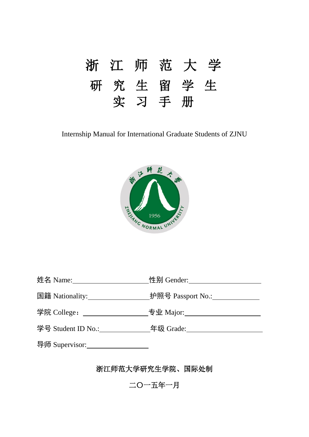

Internship Manual for International Graduate Students of ZJNU



| 姓名 Name: ______________  | 性别 Gender:               |
|--------------------------|--------------------------|
| 国籍 Nationality:          | 护照号 Passport No.: $\_\_$ |
| 学院 College: ____________ | 专业 Major:___________     |
| 学号 Student ID No.:       | 年级 Grade:                |
| 导师 Supervisor:           |                          |

浙江师范大学研究生学院、国际处制

二〇一五年一月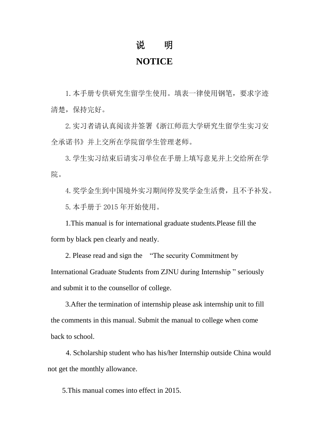## 说 明

### **NOTICE**

1.本手册专供研究生留学生使用。填表一律使用钢笔,要求字迹 清楚,保持完好。

2.实习者请认真阅读并签署《浙江师范大学研究生留学生实习安 全承诺书》并上交所在学院留学生管理老师。

3.学生实习结束后请实习单位在手册上填写意见并上交给所在学 院。

4.奖学金生到中国境外实习期间停发奖学金生活费,且不予补发。

5.本手册于 2015 年开始使用。

1.This manual is for international graduate students.Please fill the form by black pen clearly and neatly.

2. Please read and sign the "The security Commitment by International Graduate Students from ZJNU during Internship " seriously and submit it to the counsellor of college.

3.After the termination of internship please ask internship unit to fill the comments in this manual. Submit the manual to college when come back to school.

4. Scholarship student who has his/her Internship outside China would not get the monthly allowance.

5.This manual comes into effect in 2015.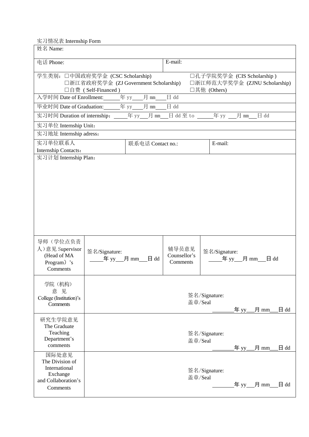实习情况表 Internship Form

| 姓名 Name:                                                                                                                                                                        |               |                   |                                   |                          |        |                |                |
|---------------------------------------------------------------------------------------------------------------------------------------------------------------------------------|---------------|-------------------|-----------------------------------|--------------------------|--------|----------------|----------------|
|                                                                                                                                                                                 |               |                   |                                   |                          |        |                |                |
| 电话 Phone:                                                                                                                                                                       |               |                   | E-mail:                           |                          |        |                |                |
| 学生类别: 口中国政府奖学金 (CSC Scholarship)<br>□孔子学院奖学金 (CIS Scholarship)<br>□浙江省政府奖学金 (ZJ Government Scholarship)<br>□浙江师范大学奖学金 (ZJNU Scholarship)<br>□其他 (Others)<br>□自费 (Self-Financed) |               |                   |                                   |                          |        |                |                |
|                                                                                                                                                                                 |               |                   |                                   |                          |        |                |                |
| 毕业时间 Date of Graduation: _______年 yy_____月 mm_____日 dd                                                                                                                          |               |                   |                                   |                          |        |                |                |
| 实习时间 Duration of internship: _____年 yy___月 mm___日 dd 至 to ______年 yy ___月 mm___                                                                                                 |               |                   |                                   |                          |        | $\boxminus$ dd |                |
| 实习单位 Internship Unit:                                                                                                                                                           |               |                   |                                   |                          |        |                |                |
| 实习地址 Internship adress:                                                                                                                                                         |               |                   |                                   |                          |        |                |                |
| 实习单位联系人                                                                                                                                                                         |               | 联系电话 Contact no.: |                                   | E-mail:                  |        |                |                |
| Internship Contacts:<br>实习计划 Internship Plan:                                                                                                                                   |               |                   |                                   |                          |        |                |                |
| 导师(学位点负责<br>人) 意见 Supervisor<br>(Head of MA<br>Program) 's                                                                                                                      | 签名/Signature: |                   | 辅导员意见<br>Counsellor's<br>Comments | 签名/Signature:            |        |                |                |
| Comments                                                                                                                                                                        |               |                   |                                   |                          |        |                |                |
| 学院(机构)<br>意 见<br>College (Institution)'s<br>Comments                                                                                                                            |               |                   |                                   | 签名/Signature:<br>盖章/Seal | _年 yy_ | _月 mm_         | $\boxminus$ dd |
| 研究生学院意见<br>The Graduate<br>Teaching<br>Department's<br>comments                                                                                                                 |               |                   |                                   | 签名/Signature:<br>盖章/Seal |        | 年 yy___月 mm    | $\Box$ dd      |
| 国际处意见<br>The Division of<br>International<br>Exchange<br>and Collaboration's<br>Comments                                                                                        |               |                   |                                   | 签名/Signature:<br>盖章/Seal |        |                |                |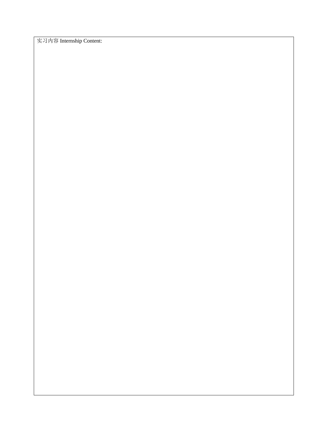实习内容 Internship Content: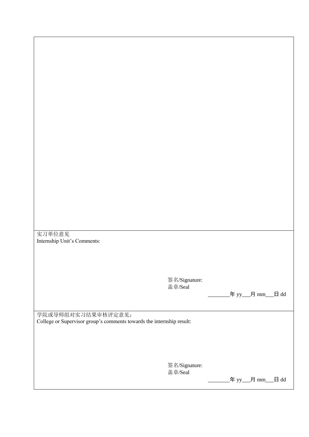实习单位意见 Internship Unit's Comments:

> 签名/Signature: 盖章/Seal

 $# yy$   $#$  mm  $#$  dd

学院或导师组对实习结果审核评定意见: College or Supervisor group's comments towards the internship result:

> 签名/Signature: 盖章/Seal

 $# yy$   $\n H mm$   $\n H dd$